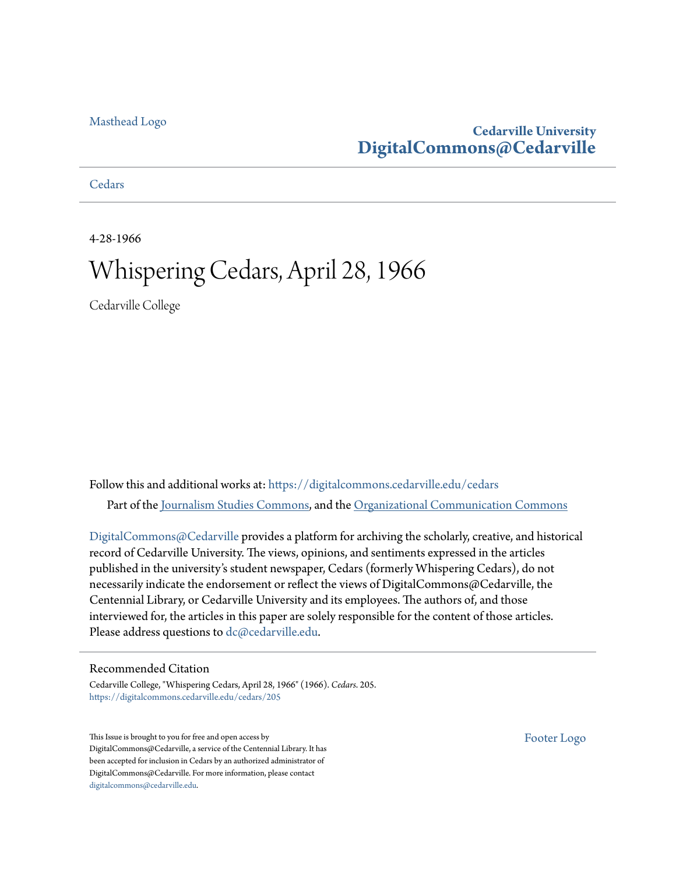#### [Masthead Logo](http://www.cedarville.edu/?utm_source=digitalcommons.cedarville.edu%2Fcedars%2F205&utm_medium=PDF&utm_campaign=PDFCoverPages)

#### **Cedarville University [DigitalCommons@Cedarville](https://digitalcommons.cedarville.edu?utm_source=digitalcommons.cedarville.edu%2Fcedars%2F205&utm_medium=PDF&utm_campaign=PDFCoverPages)**

**[Cedars](https://digitalcommons.cedarville.edu/cedars?utm_source=digitalcommons.cedarville.edu%2Fcedars%2F205&utm_medium=PDF&utm_campaign=PDFCoverPages)** 

4-28-1966

## Whispering Cedars, April 28, 1966

Cedarville College

Follow this and additional works at: [https://digitalcommons.cedarville.edu/cedars](https://digitalcommons.cedarville.edu/cedars?utm_source=digitalcommons.cedarville.edu%2Fcedars%2F205&utm_medium=PDF&utm_campaign=PDFCoverPages) Part of the [Journalism Studies Commons](http://network.bepress.com/hgg/discipline/333?utm_source=digitalcommons.cedarville.edu%2Fcedars%2F205&utm_medium=PDF&utm_campaign=PDFCoverPages), and the [Organizational Communication Commons](http://network.bepress.com/hgg/discipline/335?utm_source=digitalcommons.cedarville.edu%2Fcedars%2F205&utm_medium=PDF&utm_campaign=PDFCoverPages)

[DigitalCommons@Cedarville](http://digitalcommons.cedarville.edu/) provides a platform for archiving the scholarly, creative, and historical record of Cedarville University. The views, opinions, and sentiments expressed in the articles published in the university's student newspaper, Cedars (formerly Whispering Cedars), do not necessarily indicate the endorsement or reflect the views of DigitalCommons@Cedarville, the Centennial Library, or Cedarville University and its employees. The authors of, and those interviewed for, the articles in this paper are solely responsible for the content of those articles. Please address questions to [dc@cedarville.edu.](mailto:dc@cedarville.edu)

#### Recommended Citation

Cedarville College, "Whispering Cedars, April 28, 1966" (1966). *Cedars*. 205. [https://digitalcommons.cedarville.edu/cedars/205](https://digitalcommons.cedarville.edu/cedars/205?utm_source=digitalcommons.cedarville.edu%2Fcedars%2F205&utm_medium=PDF&utm_campaign=PDFCoverPages)

This Issue is brought to you for free and open access by DigitalCommons@Cedarville, a service of the Centennial Library. It has been accepted for inclusion in Cedars by an authorized administrator of DigitalCommons@Cedarville. For more information, please contact [digitalcommons@cedarville.edu](mailto:digitalcommons@cedarville.edu).

[Footer Logo](http://www.cedarville.edu/Academics/Library.aspx?utm_source=digitalcommons.cedarville.edu%2Fcedars%2F205&utm_medium=PDF&utm_campaign=PDFCoverPages)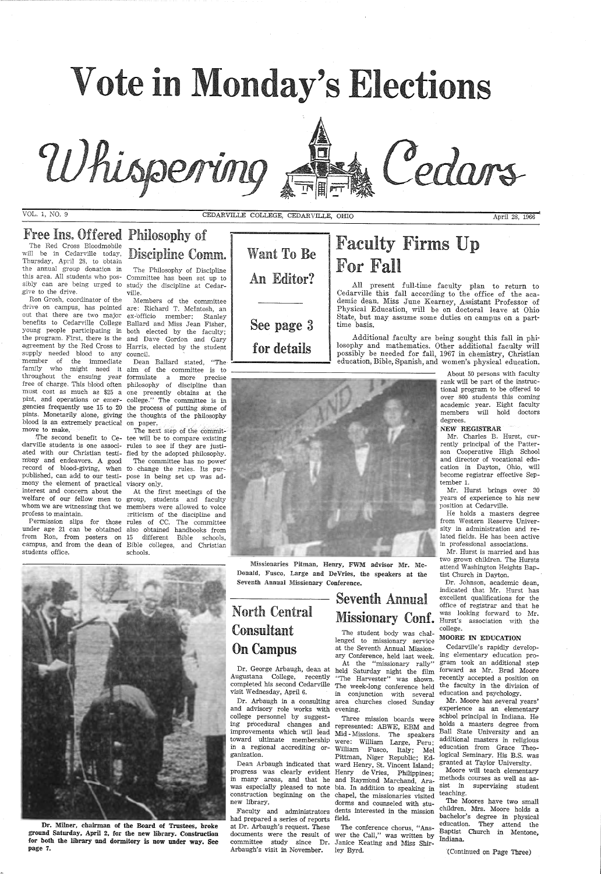

Whispering

VOL. 1, NO. 9 CEDARVILLE COLLEGE, CEDARVILLE, OHIO April 28, 1966

## Free Ins. Offered Philosophy of

The Red Cross Bloodmobile<br>will be in Cedarville today, will be in Cedarville today, Discipline Comm. the annual group donation in this area. All students who pos-Committee has been set up to sibly can are being urged to study the discipline at Cedargive to the drive.

All present full-time faculty plan to return to Cedarville this fall according to the office of the academic dean. Miss June Kearney, Assistant Professor of Physical Education, will be on doctoral leave at Ohio State, but may assume some duties on campus on a part-<br>time basis.

Cedars

Additional faculty are being sought this fall in philosophy and mathematics. Other additional faculty will possibly be needed for fall, 1967 in chemistry, Christian education, Bible, Spanish, and women's physical education



The Philosophy of Discipline ville.

Members of the committee

The second benefit to Ce- tee will be to compare existing The next step of the commit-

## Want To Be An Editor?

See page 3 for details



drive on campus, has pointed are: Richard T. McIntosh, an out that there are two major ex-officio member; Stanley benefits to Cedarville College Ballard and Miss Jean Fisher, young people participating in both elected by the faculty; the program. First, there is the and Dave Gordon and Gary agreement by the Red Cross to Harris, elected by the student supply needed blood to any council. Ron Grosh, coordinator of the member of the immediate Dean Ballard stated, "The **Fig. 2016** family who might need it aim of the committee is to throughout the ensuing year formulate <sup>a</sup>more precise free of charge. This blo'od often <sup>p</sup>hilosophy of discipline than must cost as much as \$25 <sup>a</sup> one presently obtains at the pint, and operations or emer-college." The committee is in gencies frequently use 15 to 20 the process of putting some of <sup>p</sup>ints. Monetarily alone, giving the thoughts of the philosophy blood is an extremely practical on paper. move to make.

> Missionaries Pitman, Henry, FWM advisor Mr. Mc-Donald, Fusco, Large and De Vries, the speakers at the Seventh Annual Missionary Conference.

darville students is one associ-rules to see if they are justiated with our Christian testi-fied by the adopted philosophy. m'ony and endeavors. A good The committee has no power record of blood-giving, when to change the rules. Its pur-J)ublished, can add to our testi-pose in being set up was admony the element of practical visory only. interest and concern about the welfare of our fellow men to group, students and faculty whom we are witnessing that we members were allowed to voice profess to maintain.

from Ron, from posters on 15 different Bible schools, students office.

Permission slips for those rules of CC. The committee under age 21 can be obtained also obtained handbooks from campus, and from the dean of Bible c'olleges, and Christian At the first meetings of the rriticism of the discipline and schools.

> completed his second Cedarville The week-long conference held the faculty in the division of visit Wednesday, April 6. in conjunction with several education and psychology.

Dr. Milner, chairman of the Board of Trustees, broke ground Saturday, April 2, for the new library. Construction for both the library and dormitory is now under way. See page 7.

## North Central Consultant On Campus

Dr. George Arbaugh, dean at held Saturday night the film forward as Mr. Brad Moore At the "missionary rally"

Augustana College, recently "The Harvester" was shown.

Dr. Arbaugh in a consulting area churches closed Sunday and advisory role works with evening.

college personnel by suggesting procedural changes and improvements which will lead Mid - Missions. The speakers toward ultimate membership were: William Large, Peru; in a regional accrediting organization. Three mission boards were represented: ABWE, EBM and William Fusco, Italy; Mel Pittman, Niger Republic; Ed-

## Seventh Annual Missionary Conf.

The student body was challenged to missionary service at the Seventh Annual Mission-

Dean Arbaugh indicated that ward Henry, St. Vincent Island; progress was clearly evident Henry de Vries, Philippines; in many areas, and that he and Raymond Marchand, Arawas especially pleased to note bia. In addition to speaking in construction beginning on the chapel, the missionaries visited new library. dorms and counseled with stu-

Faculty and administrators dents interested in the mission had prepared a series of reports field.

at Dr. Arbaugh's request. These documents were the result of wer the Call," was written by committee study since Dr. Janice Keating and Miss Shir-Arbaugh's visit in November. The conference chorus, "Ansley Byrd.

About 50 persons with faculty rank will be part of the instructional program to be offered to over 800 students this coming academic year. Eight faculty members will hold doctors degrees.

ary Conference, held last week. ing elementary education pro-Cedarville's rapidly deveiopgram took an additional step recently accepted a position on



NEW REGISTRAR

Mr. Charles B. Hurst, currently principal of the Patterson Cooperative High School and director of vocational education in Dayton, Ohio, will become registrar effective September 1.

Mr. Hurst brings over <sup>30</sup> years of experience to his new position at Cedarville.

He holds a masters degree from Western Reserve University in administration and related fields. He has been active in professfonal associations.

Mr. Hurst is married and has two grown children. The Hursts attend Washington Heights Baptist Church in Dayton.

Dr. Johnson, academic dean, indicated that Mr. Hurst has excellent qualifications for the office of registrar and that he was looking forward to Mr. Hurst's association with the college.

#### MOORE IN EDUCATION

Mr. Moore has several years' experience as an elementary scb:ool principal in Indiana. He holds a masters degree from Ball State University and an additional masters in religious education from Grace Theological Seminary. His B.S. was granted at Taylor University.

Moore will teach elementary methods courses as well as assist in supervising student teaching.

The Moores have two small children. Mrs. Moore holds a bachelor's degree in physical education. They attend the Baptist Church in Mentone, Indiana.

(Continued on Page Three)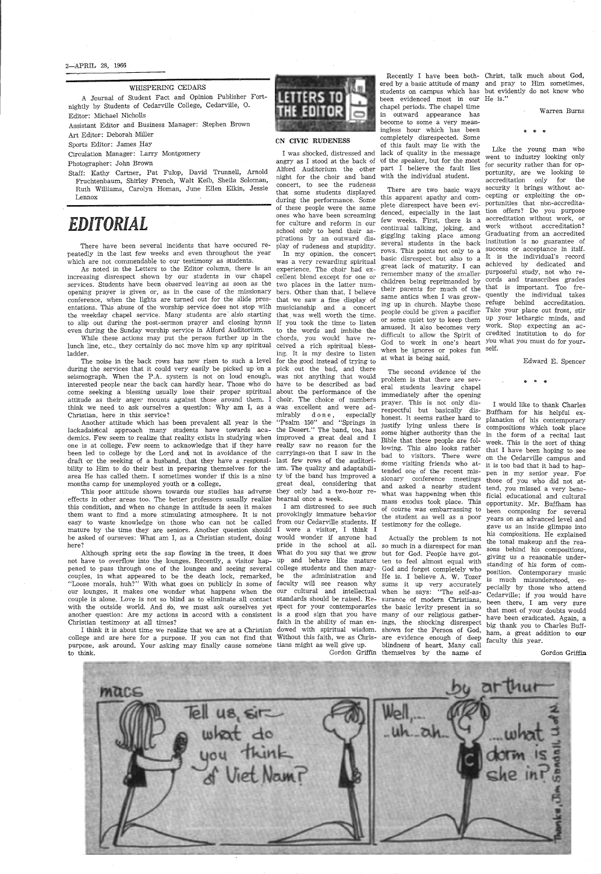2~APRIL 28, 1966

#### WHISPERING CEDARS

A Journal of Student Fact and Opinion Publisher Fortnightly by Students of Cedarville College, Cedarville, 0. Editor: Michael Nicholls

Assistant Editor and Business Manager: Stephen Brown

Art Editor: Deborah Miller

Sports Editor: James Hay

Circulation Manager: Larry Montgomery

Photographer: John Brown

Staff: Kathy Cartner, Pat Fulop, David Trunnell, Arnold Fruchtenbaum, Shirley French, Walt Keib, Sheila Soloman, Ruth Williams, Carolyn Homan, June Ellen Elkin, Jessie Lennox

## *EDITORIAL*

There have been several incidents that have occured repeatedly in the last few weeks and even throughout the year which are not commendable to our testimony as students.

As noted in the Letters to the Editor column, there is an increasing disrespect shown by our students in 1our chapel services. Students have been observed leaving as soon as the two places in the latter numopening prayer is given or, as in the case of the missionary conference, when the lights are turned out for the slide pres-that we saw a fine display of entations. This abuse of the worship service does not stop with musicianship and a concert the weekday chapel service. Many students are also starting to slip out during the post-sermon prayer and closing hymn even during the Sunday worship service in Alford Auditorium.

Another attitude which has been prevalent all year is the "Psalm 150" and "Springs in lackadaisical approach many students have towards aca-the Desert." The band, too, has demics. Few seem to realize that reality exists in studying when improved a great deal and I one is at college. Few seem to acknowledge that if they have really saw no reason for the been led to college by the Lord and not in avoidance of the carryings-on that I saw in the draft or the seeking of a husband, that they have a responsi-last few rows of the auditoribility to Him to do their best in preparing themselves for the um. The quality and adaptabiliarea He has called them. I sometimes wonder if this is a nine ty 'of the band has improved a months camp for unemployed youth or a college.

While these actions may put the person further up in the chords, you would have relunch line, etc., they certainly do not move him up any spiritual ladder.

The noise in the back rows has now risen to such a level for the good instead of trying to during the services that it could very easily be picked up bn a pick out the bad, and there seismograph. When the P.A. system is not on loud enough, was n'ot anything that would interested people near the back can hardly hear. Those who do have to be described as bad come seeking a blessing usually lose their proper spiritual about the performance of the attitude as their anger mounts against those around them. I choir. The choice of numbers think we need to ask ourselves a questfon: Why am I, as a was excellent and were ad-Christian, here in this service?

I think it is about time we realize that we are at a Christian dowed with spiritual wisdom. shown for the Person of God, ham, a great addition to our college and are here for a purpose. If you can not find that Without this faith, we as Chris-are evidence enough of deep purpose, ask around. Your asking may finally cause some'one tians might as well give up. to think.



This poor attitude shown towards bur studies has adverse they only had a two-hour reeffects in other areas too. The better professors usually realize hearsal once a week. this condition, and when no change in attitude is seen it makes them want to find a more stimulating atmosphere. It is not provokingly immature behavior easy to waste knowledge bn those who can not be called from our Cedarville students. If mature by the time they are seniors. Another question should I were a visitor, I think I be asked of ourseves: What am I, as a Christian student, doing here?

Although spring sets the sap flowing in the trees, it does What do you say that we grow but for God. People have gotnot have to overflow into the lounges. Recently, a visitor hap- up and behave like mature ten to feel almost equal with pened to pass through one of the lounges and seeing several college students and then maycouples, in what appeared to be the death lock, remarked, be the administration and He is. I believe A. W. Tozer "Loose morals, huh?" With what goes bn publicly in some of faculty will see reason why sums it up very accurately our lounges, it makes one wonder what happens when the our cultural and intellectual when he says: "The self-ascouple is alone. Love is not so blind as to eliminate all contact standards should be raised. Re- surance of modern Christians, with the outside world. And so, we must ask ourselves yet spect for your contemporaries the basic levity present in so another question: Are my actions in accord with a consistent is a good sign that you have many of our religious gather-Christian testimony at all times?

#### CN CIVIC RUDENESS

angry as I stood at the back of bf the speaker, but for the most Alford Auditorium the other night for the choir and band with the individual student. concert, to see the rudeness that some students displayed during the performance. Some of these people were the same ones who have been screaming for culture and reform in our school only to bend their aspirations by an outward display of rudeness and stupidity.

ing up in church. Maybe these  $f_{\text{reg}}$  behind accreditation. Like the young man who went to industry looking only for security rather than for opportunity, are we looking to accreditation only for the security it brings without action offers? Do you purpose accreditation without work, or work without accreditation? Graduating from an accredited institution is no guarantee of success or acceptance in itslf. It is the individual's record achieved by dedicated and cords and transcribes grades quently the individual takes Take your place out front, stir up your lethargic minds, and work. Stop expecting an ac-

In my opinion, the concert was a very rewarding spiritual experience. The choir had excellent blend except for one or bers. Other than that, I believe that was well worth the time. If you took the time to listen to the words and imbibe the ceived a rich spiritual blessing. It is my desire to listen mirably d o n e, especially great deal, considering that

I was shbcked, distressed and lack of quality in the message been evidenced most in our He is." chapel periods. The chapel time in outward appearance has become to some a very meaningless hour which has been completely disrespected. Some of this fault may lie with the part I believe the fault lies

I am distressed to see such would wonder if anyone had pride in the school at all. so much in a disrespect for man

There are two basic ways this apparent apathy and com-cepting or exploiting the opplete disrespect have been evi-portunities that n'on-accreditadenced, especially in the last few weeks. First, there is a continual talking, joking, and giggling taking place among several students in the back rows. This points not only to a basic disrespect but also to a great lack of maturity. I can remember many of the smaller purposeful study, not who rechildren being reprimanded by their parents for much of the <sup>that</sup> is important. Too fresame antics when I was growpeople could be given a pacifier or some quiet toy to keep them amused. It also becomes very difficult to allow the Spirit of credited institution to do for God to work in one's heart <sup>you what</sup> you must do for yourwhen he ignores or pokes fun <sup>self.</sup> at what is being said.

faith in the ability of man en-ings, the sh'ocking disrespect Gordon Griffin themselves by the name cf Actually the problem is not God and forget completely who blindness of heart. Many call

Recently I have been both-Christ, talk much about God, ered by a basic attitude of many and pray to Him sometimes, students on campus which has but evidently do not know who

The second evidence bf the problem is that there are several students leaving chapel immediately after the opening prayer. This is not only disrespectful but basically dishonest. It seems rather hard to justify lying unless there is some higher authority than the Bible that these people are following. This also looks rather bad to visitors. There were some visiting friends who attended one of the recent missionary conference meetings and asked a nearby student what was happening when this ficial educational and cultural mass exodus took place. This of course was embarrassing to the student as well as a poor testimony for the college.

Warren Burns

#### \* \* \*

Edward E. Spencer

#### $\ddot{\phantom{a}}$  .

I would like to thank Charles Buffham for his helpful explanation of his contemporary compositions which took place in the form of a recital last week. This is the sort of thing that I have been hoping to see on the Cedarville campus and it is too bad that it had to happen in my senior year. For those of you who did not attend, you missed a very beneopportunity. Mr. Buffham has been composing for several years on an advanced level and gave us an inside glimpse into his compositions. He explained the tonal makeup and the reasons behind his compositions, giving us a reasonable understanding of his form of composition. Contemporary music is much misunderstood, especially by those who attend Cedarville; if you would have been there, I am very sure that most of your doubts would have been eradicated. Again, a big thank you to Charles Bufffaculty this year.

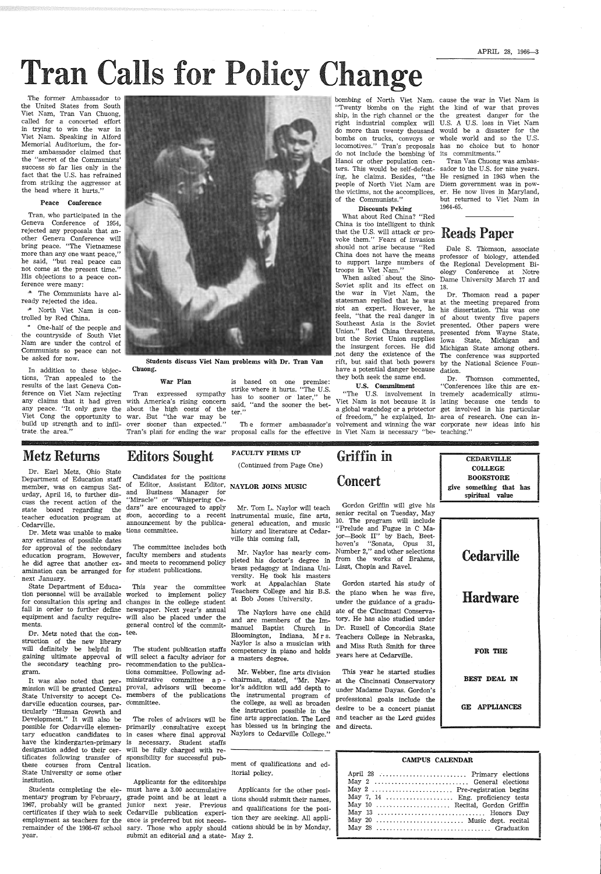APRIL 28, 1966-3

# **Tran Calls for Policy Change**

.The former Ambassador to the United States from South Viet Nam, Tran Van Chuong, called for a concerted effort in trying to win the war in Viet Nam. Speaking in Alford Memorial Auditorium, the former ambassador claimed that the "secret of the Communists' success so far lies only in the fact that the U.S. has refrained from striking the aggressor at the head where it hurts."

#### Peace Conference

One-half of the people and the countryside of South Viet Nam are under the control of Communists so peace can not be asked for now.

In addition to these bbjections, Tran appealed to the results of the last Geneva Conference on Viet Nam rejecting any claims that it had given with America's rising concern any peace. "It only gave the about the high costs of the  $_{\text{ter}}^{\text{max}}$ " Viet Cong the opportunity to war. But ''the war may be build up strength and to infil- over sooner than expected." trate the area."



Tran, who participated in the Geneva Conference of 1954, rejected any proposals that another Geneva Conference will bring peace. "The Vietnamese more than any one want peace," he said, "but real peace can not come at the present time." His objections to a peace conference were many:

·\* The Communists have already rejected the idea.

1\* North Viet Nam is controlled by Red China.

Dr. Metz noted that the con-tee. struction of the new librazy will definitely be helpful in the secondazy teaching pro-recommendation to the publicagram.

Students completing the ele-must have a 3.00 accumulative mentary program by February, grade point and be at least a 1967, probably will be granted junior next year. Previous certificates if they wish to seek Cedarville publication experiemployment as teachers for the ence is preferred but nbt necesremainder of the 1966-67 school sary. Those who apply should submit an editorial and a state- May 2.

War Plan is based on one premise: strike where it hurts. "The U.S. Tran expressed sympathy has to sooner or later," he said, "and the sooner the bet-

Dr. Earl Metz, Ohio State Department of Education staff member, was on campus Saturday, April 16, to further discuss the recent action of the state board regarding the teacher education program at . Cedarville.

Dr. Metz was unable to make any estimates of possible dates for approval of the secondary amination can be arranged for for student publications. next January.

State Department of Education personnel will be available for consultation this spring and changes in the college student fall in order to further define newspaper. Next year's annual equipment and faculty require-will also be placed under the ments.

It was also noted that per-

mission will be granted Central proval, advisors will become State University to accept Ce-members of the publications darville education courses, par-committee. ticularly "Human Growth and Development." It will also be these courses from Central lication. State University or some other institution.

Soviet split and its effect on 18. the war in Viet Nam, the have a potential danger because dation.

education program. However, faculty members and students he did agree that another ex-and meets to recommend policy The committee includes both

year.

Students discuss Viet Nam problems with Dr. Tran Van Chuong.

over sboner than expected." The former ambassador's Tran's plan for ending the war proposal calls for the effective

Editors Sought

Candidates for the positions of Editor, Assistant Editor, NAYLOR JOINS MUSIC and Business Manager for "Miracle" or "Whispering Cedars" are encouraged to apply announcement by the publications committee.

> Gordon started his study of the piano when he was five, under the guidance of a gradu-The Naylors have one child ate of the Cincinnati Conserva tory. He has also studied under years here at Cedarville.

sbon, according to a recent instrumental music, fine arts, Mr. Tom L. Naylor will teach general education, and music history and literature at Cedarville this coming fall,

FACULTY FIRMS UP (Continued from Page One)

The student publication staffs competency in piano and holds and are members of the Immanuel Baptist Church in Dr. Rusell of Concordia State Bloomington, Indiana. Mr s. Teachers College in Nebraska, Naylor is also a musician with and Miss Ruth Smith for three

Mr. Webber, fine arts division This year he started studies chairman, stated, "Mr. Nay- at the Cincinnati Conservatory

Mr. Naylor has nearly completed his doctor's degree in brass pedagogy at Indiana University. He took his masters work at Appalachian State Teachers College and his B.S. at Bob Jones University.

bombing of North Viet Nam. cause the war in Viet Nam is do not include the bombing bf its commitments." Hanoi or other population cenpeople of North Viet Nam are Diem government was in powthe victims, not the accomplices, er. He now lives in Maryland, of the Communists."

#### Discounts Peking

What about Red China? "Red China is too intelligent to think that the U.S. will attack or provoke them." Fears of invasion should not arise because "Red China does not have the means troops in Viet Nam."

gaining ultimate approval of will select a faculty advisor for tions committee. Following administrative committee a p -

ters. This would be self-defeat-sador to the U.S. for nine years. ing, he claims. Besides, "the He resigned in 1963 when the Tran Van Chuong was ambasbut returned to Viet Nam in 1964-65.

possible for Cedarville elemen-primarily . consultative except tary education candidates to in cases where final approval have the kindergarten-primary is necessary. Student staffs designation added to their cer-will be fully charged with retificates following transfer of sponsibility for successful pub-The roles of advisors will be to support large numbers of the Regional Development Bi-When asked · about the Sino-Dame University March 17 and Dale S. Thomson, associate professor of biology, attended ology Conference at Notre

## Reads Paper

statesman replied that he was at the meeting prepared from not an expert. However, he his dissertation. This was one feels, "that the real danger in of about twenty five papers Southeast Asia is the Soviet presented. Other papers were Dr. Thomson read a paper Union." Red China threatens, presented from Wayne State, but the Soviet Union supplies Iowa State, Michigan and the insurgent forces. He did Michigan State among others. not deny the existence of the The conference was supported rift, but said that both powers by the National Science Foun-

they both seek the same end. Dr. Thomson commented, U.S. Commitment "Conferences like this are ex- "The U.S. involvement in tremely academically stimu-Viet Nam is not because it is lating because one tends to a global watchdog or a protector get involved in his particular of freedom," he explained. In- area of research. One can involvement and winning the war corporate new ideas into his

### Metz Returns

in Viet Nam is necessary "be- teaching."

"Twenty bombs on the right the kind of war that proves ship, in the righ channel or the the greatest danger for the right industrial complex will U.S. A U.S. loss in Viet Nam do more than twenty thousand would be a disaster for the bombs on trucks, convoys or whole world and so the U.S. locomotives.'' Tran's proposals has no choice but to honor

## Griffin in Concert

Gordon Griffin will give his senior recital on Tuesday, May 10. The program will include "Prelude and Fugue in C Major-Book II" by Bach, Beethoven's "Sonata, Opus 31, Number 2," and bther selections from the works of Brahms, Liszt, Chopin and Ravel.

general control bf the commit-



Applicants for the editorships

| Mr. Webber, fine arts division<br>chairman, stated, "Mr. Nay-<br>lor's addition will add depth to<br>the instrumental program of<br>the college, as well as broaden<br>the instruction possible in the<br>fine arts appreciation. The Lord<br>has blessed us in bringing the<br>Naylors to Cedarville College." | This year he started studies<br>at the Cincinnati Conservatory<br>under Madame Dayas. Gordon's<br>professional goals include the<br>desire to be a concert pianist<br>and teacher as the Lord guides<br>and directs.                      | <b>BEST DEAL IN</b><br><b>GE APPLIANCES</b> |
|-----------------------------------------------------------------------------------------------------------------------------------------------------------------------------------------------------------------------------------------------------------------------------------------------------------------|-------------------------------------------------------------------------------------------------------------------------------------------------------------------------------------------------------------------------------------------|---------------------------------------------|
| ment of qualifications and ed-<br>itorial policy.<br>Applicants for the other posi-<br>tions should submit their names,<br>and qualifications for the posi-<br>tion they are seeking. All appli-<br>cations should be in by Monday,<br>May 2.                                                                   | CAMPUS CALENDAR<br>April 28  Primary elections<br>May 2  General elections<br>May 2  Pre-registration begins<br>May 7, 14  Eng. proficiency tests<br>May 10  Recital, Gordon Griffin<br>May 13  Honors Day<br>May 20  Music dept. recital |                                             |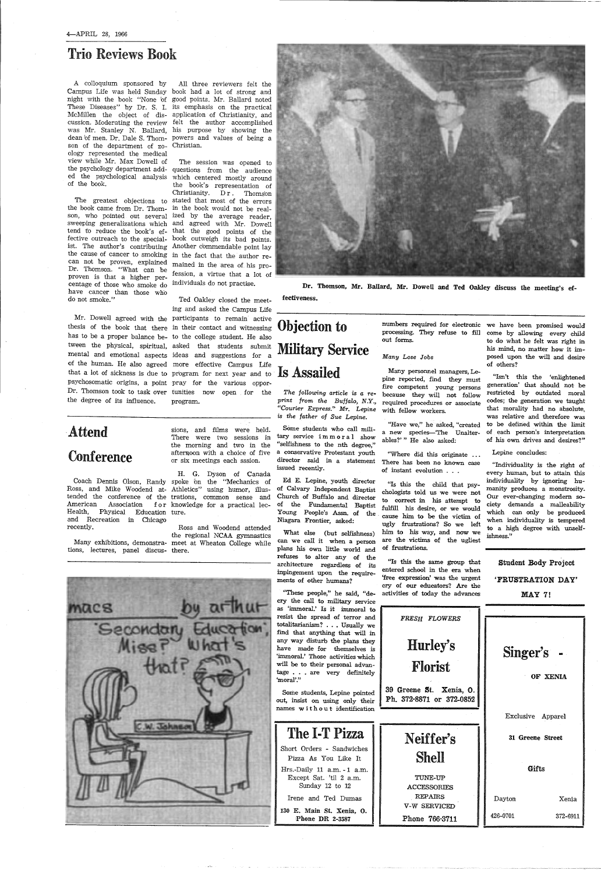## Trio Reviews Book

A colloquium sponsored by Campus Life was held Sunday book had a lot of strong and night with the book "None bf good points. Mr. Ballard noted These Diseases" by Dr. S. I. its emphasis on the practical McMillen the object of dis-applicatfon of Christianity, and cussion. Moderating the review felt the author accomplished was Mr. Stanley N. Ballard, his purpose by showing the dean of men. Dr. Dale S. Thom-powers and values of being <sup>a</sup> son of the department of zo-Christian. ology represented the medical view while Mr. Max Dowell of the psychology department add- questions from the audience ed the psychological analysis which centered mostly around of the book.

The greatest objections to stated that most of the errors can not be proven, explained mained in the area of his pro-The session was opened to the book's, representation of Christianity. Dr. Thomson

the book came from Dr. Thom-in the book would not be realson, who pointed out several ized by the average reader, sweeping generalizations which and agreed with Mr. Dowell tend to reduce the book's ef-that the good points of the fective outreach to the special-book outweigh its bad points. ist. The author's contributing Another-commendable-point-lay the cause of cancer to smoking in the fact that the author re-Dr. Thomson. "What can be proven is that a higher per-<br>
fession, a virtue that a lot of centage of those who smoke do <sup>individuals</sup> do not practise. have cancer than those who do not smoke."

All three reviewers felt the

## Attend **Conference**

*The following article* is *a Te-* $\frac{p\pi}{q}$  *from the Buffalo, N.Y.,* required procedures or associate *"Courier Express." Mr. Lepine is the father of Sue Lepine.* 

Many personnel managers, Lepine reported, find they must fire competent young · persons because they will not follow with fellow workers.

thesis of the book that there in their contact and witnessing has to be a proper balance be- to the college student. He also tween the physical, spiritual, asked that students submit mental and emotional aspects ideas and suggestions for <sup>a</sup> of the human. He also agreed more effective Campus Life that a lot of sickness is due to program for next year and to psychosomatic origins, a point pray for the various oppor-Dr. Thomson took to task over tunities now open for the the degree of its influence.

Ted Oakley closed the meeting and asked the Campus Life Mr. Dowell agreed with the participants to remain active program.

Ross, and Mike Woodend at-Athletics" using humor, illus tended the conference of the trations, common sense and American Association for knowledge for a practical lec- Health, Physical Education ture. and Recreation in Chicago recently.

Coach Dennis Olson, Randy spoke 'on the "Mechanics of H. G. Dyson of Canada

fulfill his desire, or we would Young People's Assn. of the cause him to be the victim of<br>Niagara Frontier, asked: undur fructations? So we held ugly frustrations? So we left him to his way, and now we are the victims of the ugliest of frustrations.

sions, and films were held. There were two sessions in the morning and two in the afternoon with a choice of five or six meetings each sssion.

Many exhibitions, demonstra-meet at Wheaton College while Ross and Woodend attended the regional NCAA gymnastics

tions, lectures, panel discus-there.

Dr. Thomson, Mr. Ballard, Mr. Dowell and Ted Oakley discuss the meeting's ef-

fectiveness.

## Objection to Military Service Is Assailed

Some students who call military service immoral show "selfishness to the nth degree," <sup>a</sup>conservative Protestant youth director said in a statement issued recently.

Ed E. Lepine, youth director  $\alpha$ <sup>1</sup>S this the child that psy-<br>of Calvary Independent Baptist chologists told us we were not Church of Buffalo and director to correct in his attempt to of the Fundamental Baptist  $f_{n1}$ ,  $f_{n1}$  his decire or we would

numbers required for electronic we have been promised would processing. They refuse to fill out forms.

#### *Many* Lose Jobs

"Have we," he asked, "created a new species-'The Unalterables?' " He also asked:

"Where did this originate There has been no known case of instant evolution .

What else (but selfishness) can we call it when a person plans his own little world and refuses to alter any of the architecture regardless of its inpingement upon the requirements of other humans?

"Is this the same group that entered school in the exa when 'free expression' was the urgent







"Isn't this the 'enlightened generation' that should not be restricted by outdated moral codes; the generation we taught that morality had no absolute, was relative and therefore was to be defined within the limit of each person's interpretation of his own drives and desires?"

#### Lepine concludes:

"Individuality is the right of every human, but to attain this individuality by ignoring humanity produces a monstrosity. Our ever-changing modern society demands a malleability which can only be produced when individuality is tempered to a high degree with unselfishness.''

Student Body Project 'FRUSTRATION DAY'

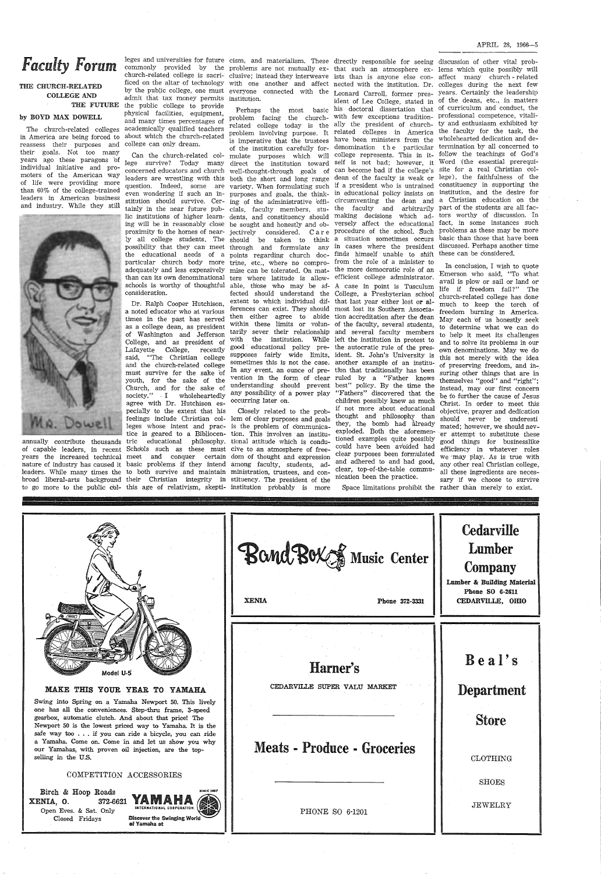## *Faculty Forum*

#### THE CHURCH-RELATED COLLEGE AND THE FUTURE

#### by BOYD MAX DOWELL

in America are being forced to reassess their purposes and college can only dream. their goals. Not too many years ago these paragons 'of individual initiative and promoters of the American way of life were providing more than 60% of the college-trained leaders in American business and industry. While they still



annually contribute thousands

The church-related colleges academically qualified teachers by the public college, one must admit that tax money permits institution. the public college to provide physical facilities, equipment, and many times percentages of about which the church-related

> Can the church-related col lege survive? Today many direct the institution toward self is not bad; however, it Word (the essential prerequiconcerned educators and church well-thought-through goals of can become bad if the college's site for a real Christian colleaders are wrestling with this both the short and long range dean of the faculty is weak or lege), the faithfulness of the question. Indeed, some are tainly in the near future pub lic institutions of higher learn- dents, and constituency should making decisions which ad-tors worthy of discussion. In ing will be in reasonably close be sought and honestly and ob-versely affect the educational fact, in some instances such possibility that they can meet through and formulate any in cases where the president discussed. Perhaps another time the educational needs of a points regarding church doc-finds himself unable to shift these can be considered. particular church body more trine, etc., where no compro-from the role of a minister to than can its own denominational ters where latitude is allow-efficient college administrator. consideratibn.

of capable leaders, in recent Schools such as these must cive-to-an-atmosphere-of-freeyears the increased technical meet and conquer certain dom of thought and expression nature of industry has caused it basic problems if they intend among faculty, students, adleaders. While many times the to both survive and maintain ministration, trustees, and conleaders. While many times the to both survive and maintain ministration, trustees, and con-<br>broad liberal-arts background their Christian integrity in stituency. The president of the Dr. Ralph Cooper Hutchison, a noted educator who at various times in the past has served as a college dean, as president of Washington and Jefferson College, and as president of Lafayette College, recently said, "The Christian college and the church-related college must survive for the sake bf youth, for the sake of the Church, and for the sake of society." I wholeheartedly agree with Dr. Hutchison es pecially to the extent that his feelings include Christian col- lem of clear purposes and goals leges whose intent and prac- is the problem of communicatice is geared to a Bibliocen- tion. This involves an institutric educational philosophy. tional-attitude-which is condu-<br>Schools such as these must cive-to-an-atmosphere-of-free-

Birch & Hoop Roads  $XENIA, 0.$  372-6621 Open Eves. & Sat. Only Closed Fridays

#### MAKE Tms YOUR YEAR. TO YAMAHA

to go more to the public dol-this age of relativism, skepti-institution probably is more Closely related to the prob-

Swing into Spring on a Yamaha Newport 50. This lively one has all the conveniences. Step-thru frame, 3-speed gearbox, automatic clutch. And about that price! The Newport 50 is the lowest priced way to Yamaha. It is the safe way too . . . if you can ride a bicycle, you can ride <sup>a</sup>Yamaha. Come on. Come in and let us show you why our Yamahas, with proven oil injection, are the topselling in the U.S.

even wondering if such an in- purposes and goals, the think-in educational policy insists on institution, and the desire for stitution should survive. Cer- ing of the administrative bffi-circumventing the dean and a Christian education on the proximity tb the homes of near- jectively considered. Care procedure of the sch'ool. Such ly all college students. The should be taken to think a situation sometimes occurs adequately and less expensively mise can be tolerated. On mat- the more democratic role of an schools is worthy of thoughtful able, thbse who may be af-A case in point is Tusculum problem facing the church-with few exceptions tradition-professional competence, vitalirelated college today is the ally the president of church-ty and enthusiasm exhibited by problem involving purpose. It related colleges in America the faculty for the task, the is imperative that the trustees have been ministers from the wholehearted dedication and deof the institution carefully for-denomination the particular termination by all concerned to mulate purposes which will college represents. This in it-follow the teachings of God's variety. When formulating such if <sup>a</sup>president who is untrained constituency in supporting the cials, faculty members, stu-the faculty and arbitrarily part of the students are all facfected should understand the College, a Presbyterian schbol extent to which individual dif-that last year either lost or alferences can exist. They should most lost its Southern Associathen either agree to abide tion accreditation after the dean within these limits or volun-of the faculty, several students, tarily sever their relationship and several faculty members with the institution. While left the institution in protest to good · educational policy pre-the autocratic rule of the pressupposes fairlY wide limits, ident. St. John's University is sometimes this is not the case. another example of an institu-In any event, an ounce of pre-tibn that traditionally has been vention in the form of clear ruled by a "Father knows understanding should prevent best" policy. By the time the any possibility of a power play occurring later on.

#### COMPETITION ACCESSORIES



ficed on the altar of technology with one another and affect nected with the institution. Dr. colleges during the next few everyone connected with the Leonard Carroll, former pres-years. Certainly the leadership Perhaps the most basic his doctoral dissertation that of curriculum and conduct, the "Fathers" discovered that the children possibly knew as much if not more about educational thought and philosophy than they, the bomb had already exploded. Both the aforementioned examples quite possibly could have been av'oided had clear purposes been formulated and adhered to and had good, clear, top-of-the-table communication been the practice.

leges and universities for future cism, and materialism. These directly responsible for seeing discussion of other vital probcommonly provided by the problems are not mutually ex-that such an atmosphere ex-lems which quite possibly will church-related college is sacri- clusive; instead they interweave ists than is anyone else con-affect many church - related ident of Lee College, stated in of the deans, etc., in matters problems as these may be more basic than those that have been

|           | Bond Box J Music Center<br><b>XENIA</b><br>Phone 372-3331 | <b>Cedarville</b><br>Lumber<br>Company<br>Lumber & Building Material<br>Phone SO 6-2611<br>CEDARVILLE, OHIO |
|-----------|-----------------------------------------------------------|-------------------------------------------------------------------------------------------------------------|
| Model U-5 | Harner's                                                  | Beal's                                                                                                      |

Space limitations prohibit the rather than merely to exist.

CEDARVILLE SUPER VALU MARKET Meats - Produce - Groceries PHONE SO 6-1201 Department Store CLOTHING  $_{\rm SHOES}$ JEWELRY

In conclusion, I wish to quote Emerson who said, "To what avail is plow or sail or land or life if freedom fail?" The church-related college has done much to keep the torch of freedom burning in America. May each bf us honestly seek to determine what we can do to help it meet its challenges and to solve its problems in our own denominations. May we do this not merely with the idea of preserving freedom, and in~, suring other things that are in themselves "good" and "right"; instead, may our first concern be tb further the cause of Jesus Christ. In order to meet this objective, prayer and dedication should never be underesti mated; however, we should never attempt to substitute these good things for businesslike efficiency in whatever roles we ·may play. As is true with any other real Christian college, all these ingredients are necessary if we choose to survive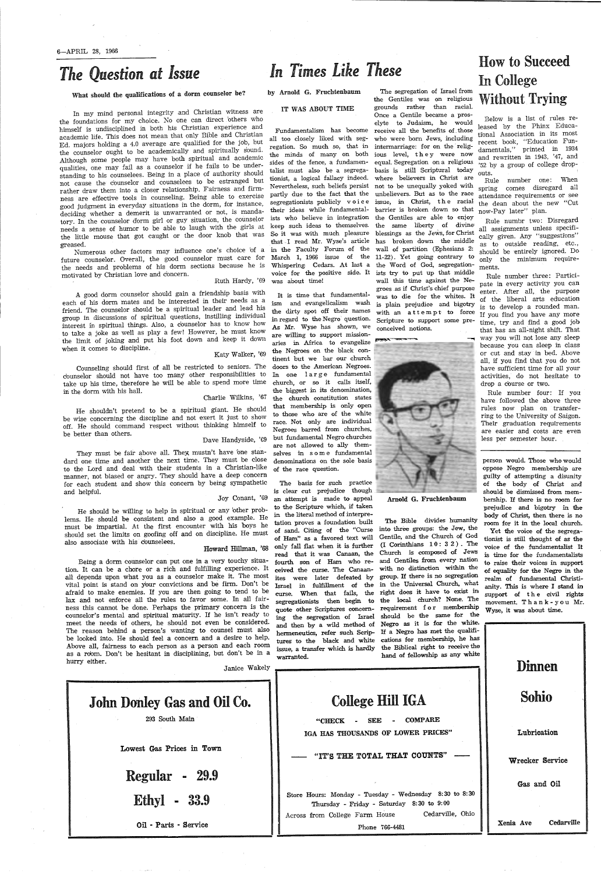6-APRIL 28, 1966

## *The Question at Issue*

What should the qualifications of a dorm counselor be?

In my mind personal integrity and Christian witness are the foundations for my choice. No one can direct 'others who himself is undisciplined in both his Christian experience and academic life. This does not mean that only Bible and Christian Ed. majors holding a 4.0 average are qualified for the job, but the counselor ought to be academically and spiritually sound. Although some people may have both spiritual and academic qualities, one may fail as <sup>a</sup>counselor if he fails to be understanding to his counselees. Being in a place of authority should not cause the counselor and counselees to be estranged but rather draw them into a closer relationship. Fairness and firmness are effective tools in counseling. Being able to exercise good judgment in everyday situations in the dorm, for instance, deciding whether a demerit is unwarranted or not, is mandatory. In the counselor dorm girl or guy situation, the counselor needs a sense of humor to be able to laugh with the girls at the little mouse that got caught or the door knob that was greased.

Numerous other factors may influence one's choice bf a future counselor. Overall, the good counselor must care for the needs and problems of his dorm sections because he is motivated by Christian love and concern. Ruth Hardy, '69

They must be fair above all. They mustn't have one standard one time and another the next time. They must be close to the Lord and deal with their students in a Christian-like manner, not biased or angry. They should have a deep concern for each student and show this concern by being sympathetic and helpful.

He should be willing to help in spiritual or any other problems. He should be consistent and also a good example. He must be impartial. At the first encounter with his boys he should set the limits on goofing off and on discipline. He must also associate with his counselees.

. Being a dorm counselor can put one in a very touchy situation. It can be a chore or <sup>a</sup>rich and fulfilling experience. It all depends upon what you as a counselor make it. The most vital point is stand on your convictions and be firm. Don't be afraid to make enemies. If you are then going to tend to be lax and not enforce all the rules to favor some. In all fairness this cannot be done. Perhaps the primary concern is the counselor's mental and spiritual maturity. If he isn't ready to meet the needs bf others, he should not even be considered: The reason behind a person's wanting to counsel must also be looked into. He should feel a concern and a desire to help. Above all, fairness to each person as a person and each room as a room. Don't be hesitant in disciplining, but don't be in a hurry either.

A good dorm counselor should gain a friendship basis with each of his dorm mates and be interested in their needs as <sup>a</sup> friend. The counselor should be a spiritual leader and lead his group in discussions of spiritual questions, instilling individual interest fn spiritual things. Also, a c'ounselor has to know how to take a joke as well as play a few! However, he must know the limit of joking and put his foot down and keep it down when it comes to discipline.

Katy Walker, '69

Counseling should first of all be restricted to seniors. The counselor should not have too many other responsibilities to take up his time, therefore he will be able to spend more time in the dorm with his hall.

Charlie Wilkins, '67

He shouldn't pretend to be a spiritual giant. He should be wise concerning the discipline and not exert it just to show off. He should command respect without thinking himself to be better than others.

Fundamentalism has become all too closely liked with segregation. So much so, that in the minds of many on both sides of the fence, a fundamentalist must also be a segregationist, a logical fallacy indeed. Nevertheless, such beliefs persist partly due to the fact that the segregationists publicly voice their ideas while fundamentalists who believe in integration keep such ideas to themselves. So it was with much pleasure that -I read Mr. Wyse's article in the Faculty Forum of the wall of partition (Ephesians 2: March 1, 1966 issue of the 11-22). Yet going contrary to Whispering Cedars. At last <sup>a</sup> voice for the positive side. It was about time!

#### Dave Handyside, 'C9

Joy Conant, 'G9

Howard Hillman, '68

Janice Wakely

## *In Times Like These*

by Arnold G. Fruchtenbaum

#### IT WAS ABOUT TIME

Below is a list of rules released by the Phinx Educational Association in its most recent book, "Education Fundamentals," printed in 1934 and rewritten in 1943, '47, and '52 by a group of college dropouts.

Rule number three: Participate in every activity you can enter. After all, the purpose of the liberal arts education is to develop a rounded man. If you find you have any more time, try and find a good job that has an all~night shift. That way you will not lose any sleep because you can sleep in class or cut and stay in bed. Above all, if you find that you do not have sufficient time for all your activities, do not hesitate to drop a course or two.

It is time that fundamentalism and evangelicalism wash the dirty spot off their names in regard to the Negro question. As Mr. Wyse has shown, we are willing to support missionaries in Africa to evangelize the Negroes on the black continent but we bar our church doors to the American Negroes. In one large fundamental church, or so it calls itself, the biggest in its denomination, the church constitution states that membership is only open to those who are of the white race. Not only are individual Negroes barred from churches, but fundamental Negro churches are not allowed to ally themselves in s o m e fundamental denominations on the sole basis of the race question.

The basis for such practice is clear cut prejudice though an attempt is made to appea<sup>l</sup> to the Scripture which, if taken in the literal method of interpretation proves a foundation built of sand. Citing of the "Curse into three groups: the Jew, the of Ham" as a favored text will Gentile, and the Church of God only fall flat when it is further (I Corinthians 1 0 : 3 2 ) . The read that it was Canaan, the Church is composed of Jews fourth son of Ham who re-and Gentiles from every nation ceived the curse. The Canaanites were later defeated by group. If there is no segregation Israel in fulfilhnent of the in the Universal Church, what curse. When that fails, the right does it have to exist in segregationists then begin to the local church? None. The quote other Scriptures concern- requirement for membership ing the segregation of Israel should be the same for the hermeneutics, refer such Scrip-If a Negro has met the qualifiwarranted.

The segregation of Israel from the Gentiles was on religious grounds rather than racial. Once a Gentile became a proselyte to Judaism, he would receive all the benefits of, those who were born Jews, including intermarriage: for on the religious level, they were now equal. Segregation on a religious basis is still Scriptural today where believers in Christ are not to be unequally yoked with unbelievers. But as to the race issue, in Christ, the racial barrier is broken down so that the Gentiles are able to enjoy the same liberty of divine' blessings as the Jews, for Christ has broken down the middle the Word of God, segregationists try to put up that middle wall this time against the Ne~ groes .as if Christ's chief purpose was to die for the whites. It is plain prejudice and bigotry with an attempt to force Scripture to support some pre-

and then by a wild method of Negro as it is for the white. tures to the black and white cations for membership, he has issue, a transfer which is hardly the Biblical right to receive the The Bible divides humanity with no distinction within the hand of fellowship as any white





Arnold G. Fruchtenbaum

## How to Succeed In College Without Trying

Rule number one: When spring comes disregard all attendance requirements or see the dean about the new "Cut now-Pay later" plan.

Rule numbr two: Disregard all assignments unless specifically given. Any "suggestions" as to outside reading, etc., should be entirely ignored. Do only the minimum requirements.

Rule number four: If you have followed the above three rules now plan on transferring to the University of Saigon. Their graduation requirements are easier and costs are even less per semester hour.

person would. Those who would oppose Negro membership are guilty of attempting a disunity of the body of Christ and should be dismissed from membership. If there is no room for prejudice and bigotry in the body of Christ, then there is no room for it in the local church.

Yet the voice of the segregationist is still thought of as the voice of the fundamentalist It is time for the fundamentalists to raise their voices in suppor<sup>t</sup> of equality for the Negro in the realm of fundamental Christianity. This is where I stand in support of the civil rights movement. Thank-you Mr. Wyse, it was about time.

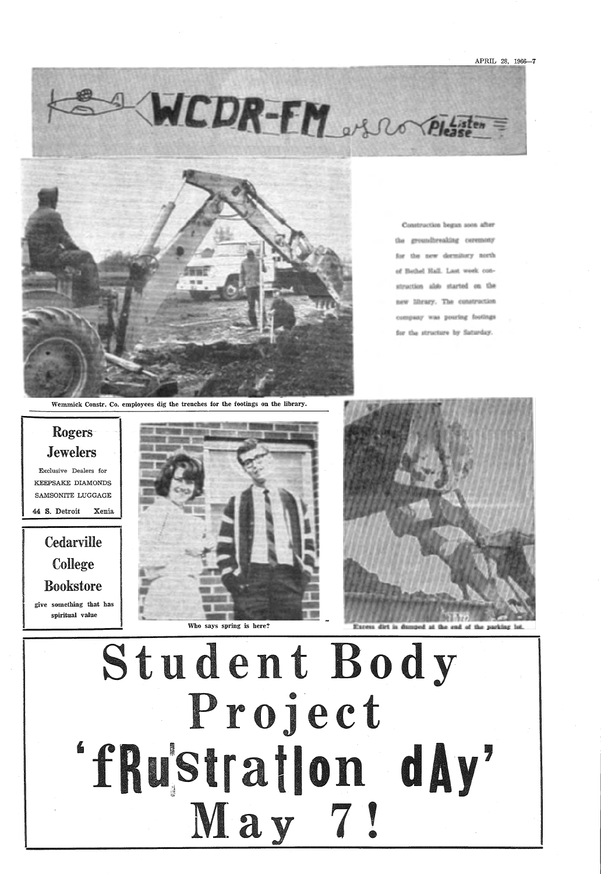## Rogers *Jewelers*

**Cedarville** College Bookstore give something that bas spiritual value

Exclusive Dealers for KEEPSAKE DIAMONDS SAMSONITE LUGGAGE

44 S. Detroit Xenia



Who says spring is here?



Excess dirt is dumped at the end of the parking lo





Construction began soon after the groundbreaking ceremony for the new dermitory north of Bethel Hall. Last week construction als'o started on the new library. The construction company was pouring footings for the structure by Saturday.

Wemmick Constr. Co. employees dig the trenches for the footings on the library.